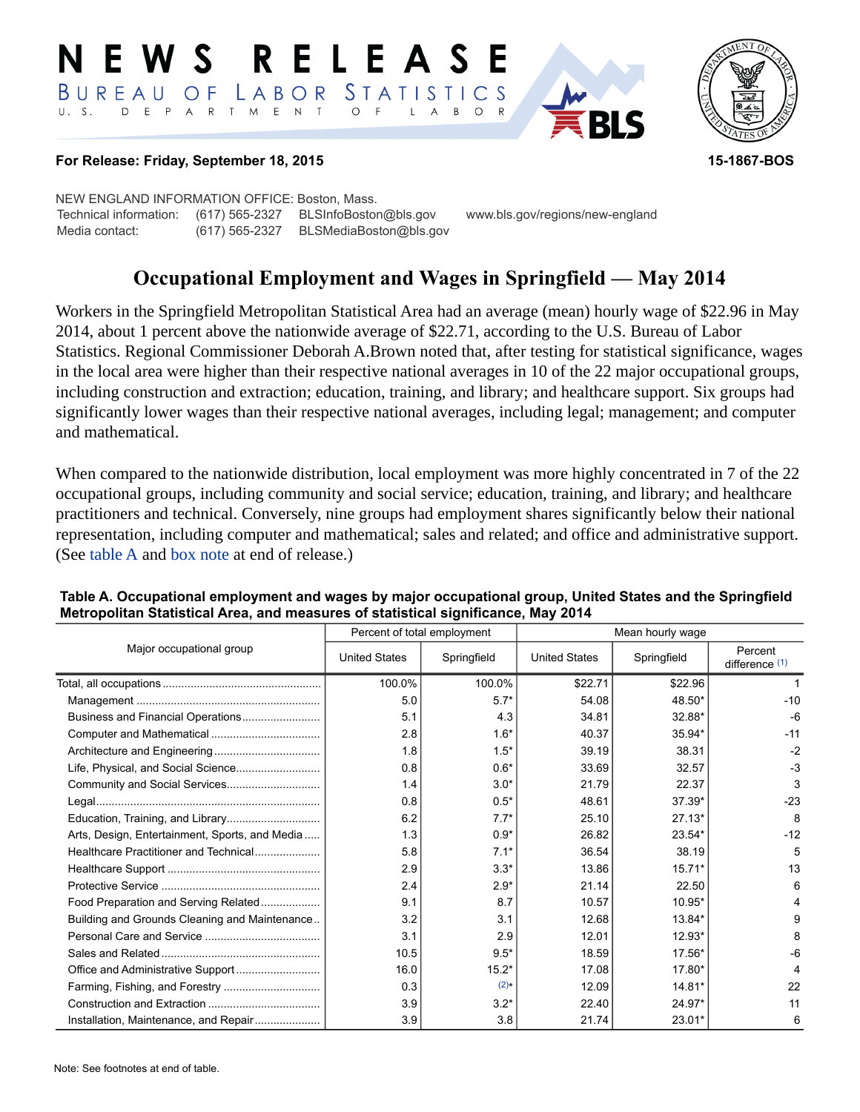#### RELEAS E W S BUREAU STATISTICS  $\overline{O}$  F LABOR D E P A R T M E N T  $U. S.$  $\circ$  $\overline{F}$ B  $\circ$  $\mathsf{L}$  $\overline{A}$



#### **For Release: Friday, September 18, 2015 15-1867-BOS**

NEW ENGLAND INFORMATION OFFICE: Boston, Mass. Technical information: (617) 565-2327 BLSInfoBoston@bls.gov www.bls.gov/regions/new-england Media contact: (617) 565-2327 BLSMediaBoston@bls.gov

# **Occupational Employment and Wages in Springfield — May 2014**

Workers in the Springfield Metropolitan Statistical Area had an average (mean) hourly wage of \$22.96 in May 2014, about 1 percent above the nationwide average of \$22.71, according to the U.S. Bureau of Labor Statistics. Regional Commissioner Deborah A.Brown noted that, after testing for statistical significance, wages in the local area were higher than their respective national averages in 10 of the 22 major occupational groups, including construction and extraction; education, training, and library; and healthcare support. Six groups had significantly lower wages than their respective national averages, including legal; management; and computer and mathematical.

When compared to the nationwide distribution, local employment was more highly concentrated in 7 of the 22 occupational groups, including community and social service; education, training, and library; and healthcare practitioners and technical. Conversely, nine groups had employment shares significantly below their national representation, including computer and mathematical; sales and related; and office and administrative support. (See table A and [box note](#page-2-0) at end of release.)

|                                                | Percent of total employment |             | Mean hourly wage     |             |                             |  |
|------------------------------------------------|-----------------------------|-------------|----------------------|-------------|-----------------------------|--|
| Major occupational group                       | <b>United States</b>        | Springfield | <b>United States</b> | Springfield | Percent<br>difference $(1)$ |  |
|                                                | 100.0%                      | 100.0%      | \$22.71              | \$22.96     |                             |  |
|                                                | 5.0                         | $5.7*$      | 54.08                | 48.50*      | $-10$                       |  |
|                                                | 5.1                         | 4.3         | 34.81                | 32.88*      | -6                          |  |
|                                                | 2.8                         | $1.6*$      | 40.37                | 35.94*      | $-11$                       |  |
|                                                | 1.8                         | $1.5*$      | 39.19                | 38.31       | $-2$                        |  |
|                                                | 0.8                         | $0.6*$      | 33.69                | 32.57       | $-3$                        |  |
|                                                | 1.4                         | $3.0*$      | 21.79                | 22.37       | 3                           |  |
|                                                | 0.8                         | $0.5*$      | 48.61                | $37.39*$    | $-23$                       |  |
|                                                | 6.2                         | $7.7*$      | 25.10                | $27.13*$    | 8                           |  |
| Arts, Design, Entertainment, Sports, and Media | 1.3                         | $0.9*$      | 26.82                | 23.54*      | $-12$                       |  |
| Healthcare Practitioner and Technical          | 5.8                         | $7.1*$      | 36.54                | 38.19       | 5                           |  |
|                                                | 2.9                         | $3.3*$      | 13.86                | $15.71*$    | 13                          |  |
|                                                | 2.4                         | $2.9*$      | 21.14                | 22.50       | 6                           |  |
| Food Preparation and Serving Related           | 9.1                         | 8.7         | 10.57                | 10.95*      |                             |  |
| Building and Grounds Cleaning and Maintenance  | 3.2                         | 3.1         | 12.68                | 13.84*      | 9                           |  |
|                                                | 3.1                         | 2.9         | 12.01                | 12.93*      | 8                           |  |
|                                                | 10.5                        | $9.5*$      | 18.59                | $17.56*$    | -6                          |  |
|                                                | 16.0                        | $15.2*$     | 17.08                | $17.80*$    |                             |  |
|                                                | 0.3                         | $(2)$ *     | 12.09                | 14.81*      | 22                          |  |
|                                                | 3.9                         | $3.2*$      | 22.40                | 24.97*      | 11                          |  |
| Installation, Maintenance, and Repair          | 3.9                         | 3.8         | 21.74                | 23.01*      | 6                           |  |

### **Table A. Occupational employment and wages by major occupational group, United States and the Springfield Metropolitan Statistical Area, and measures of statistical significance, May 2014**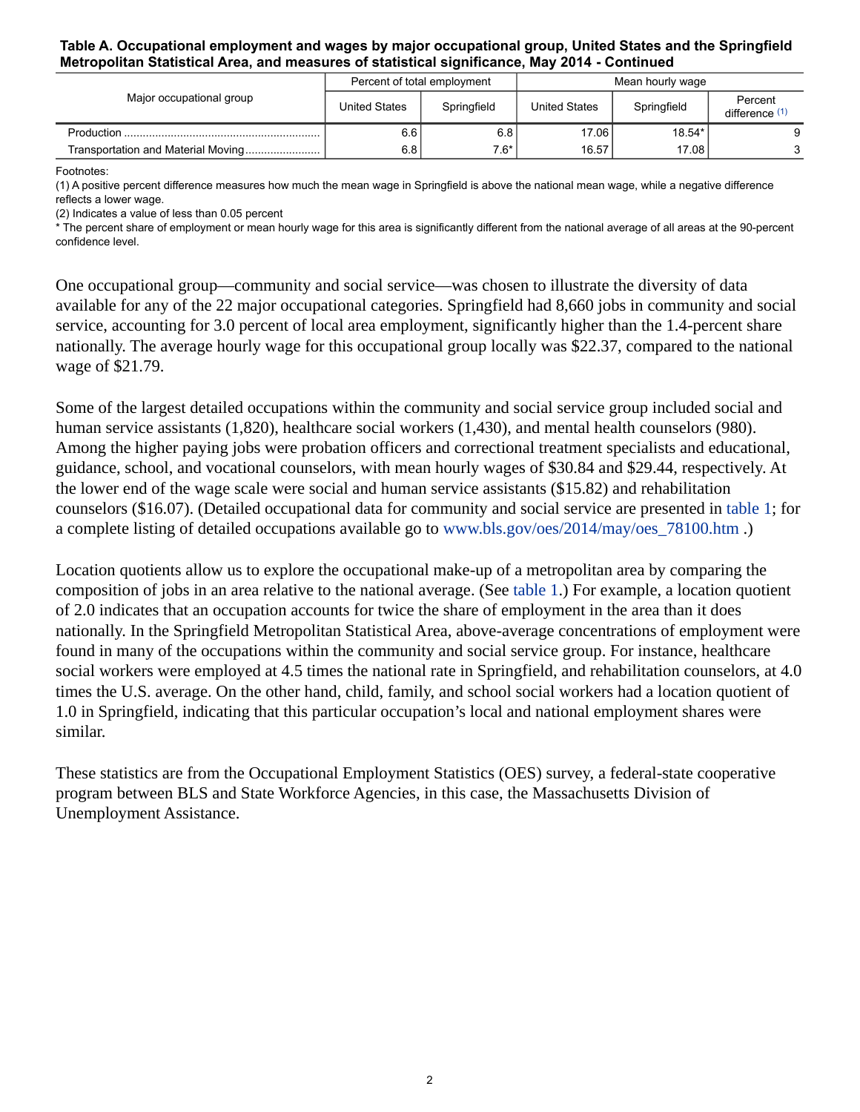### **Table A. Occupational employment and wages by major occupational group, United States and the Springfield Metropolitan Statistical Area, and measures of statistical significance, May 2014 - Continued**

| Major occupational group | Percent of total employment |             | Mean hourly wage |             |                           |
|--------------------------|-----------------------------|-------------|------------------|-------------|---------------------------|
|                          | <b>United States</b>        | Springfield | United States    | Springfield | Percent<br>difference (1) |
|                          | 6.6                         | 6.8         | 17.06            | 18.54*      |                           |
|                          | 6.8                         | $7.6*$      | 16.57            | 17.08       |                           |

Footnotes:

<span id="page-1-0"></span>(1) A positive percent difference measures how much the mean wage in Springfield is above the national mean wage, while a negative difference reflects a lower wage.

<span id="page-1-1"></span>(2) Indicates a value of less than 0.05 percent

\* The percent share of employment or mean hourly wage for this area is significantly different from the national average of all areas at the 90-percent confidence level.

One occupational group—community and social service—was chosen to illustrate the diversity of data available for any of the 22 major occupational categories. Springfield had 8,660 jobs in community and social service, accounting for 3.0 percent of local area employment, significantly higher than the 1.4-percent share nationally. The average hourly wage for this occupational group locally was \$22.37, compared to the national wage of \$21.79.

Some of the largest detailed occupations within the community and social service group included social and human service assistants (1,820), healthcare social workers (1,430), and mental health counselors (980). Among the higher paying jobs were probation officers and correctional treatment specialists and educational, guidance, school, and vocational counselors, with mean hourly wages of \$30.84 and \$29.44, respectively. At the lower end of the wage scale were social and human service assistants (\$15.82) and rehabilitation counselors (\$16.07). (Detailed occupational data for community and social service are presented in table 1; for a complete listing of detailed occupations available go to [www.bls.gov/oes/2014/may/oes\\_78100.htm](https://www.bls.gov/oes/2014/may/oes_78100.htm) .)

Location quotients allow us to explore the occupational make-up of a metropolitan area by comparing the composition of jobs in an area relative to the national average. (See table 1.) For example, a location quotient of 2.0 indicates that an occupation accounts for twice the share of employment in the area than it does nationally. In the Springfield Metropolitan Statistical Area, above-average concentrations of employment were found in many of the occupations within the community and social service group. For instance, healthcare social workers were employed at 4.5 times the national rate in Springfield, and rehabilitation counselors, at 4.0 times the U.S. average. On the other hand, child, family, and school social workers had a location quotient of 1.0 in Springfield, indicating that this particular occupation's local and national employment shares were similar.

These statistics are from the Occupational Employment Statistics (OES) survey, a federal-state cooperative program between BLS and State Workforce Agencies, in this case, the Massachusetts Division of Unemployment Assistance.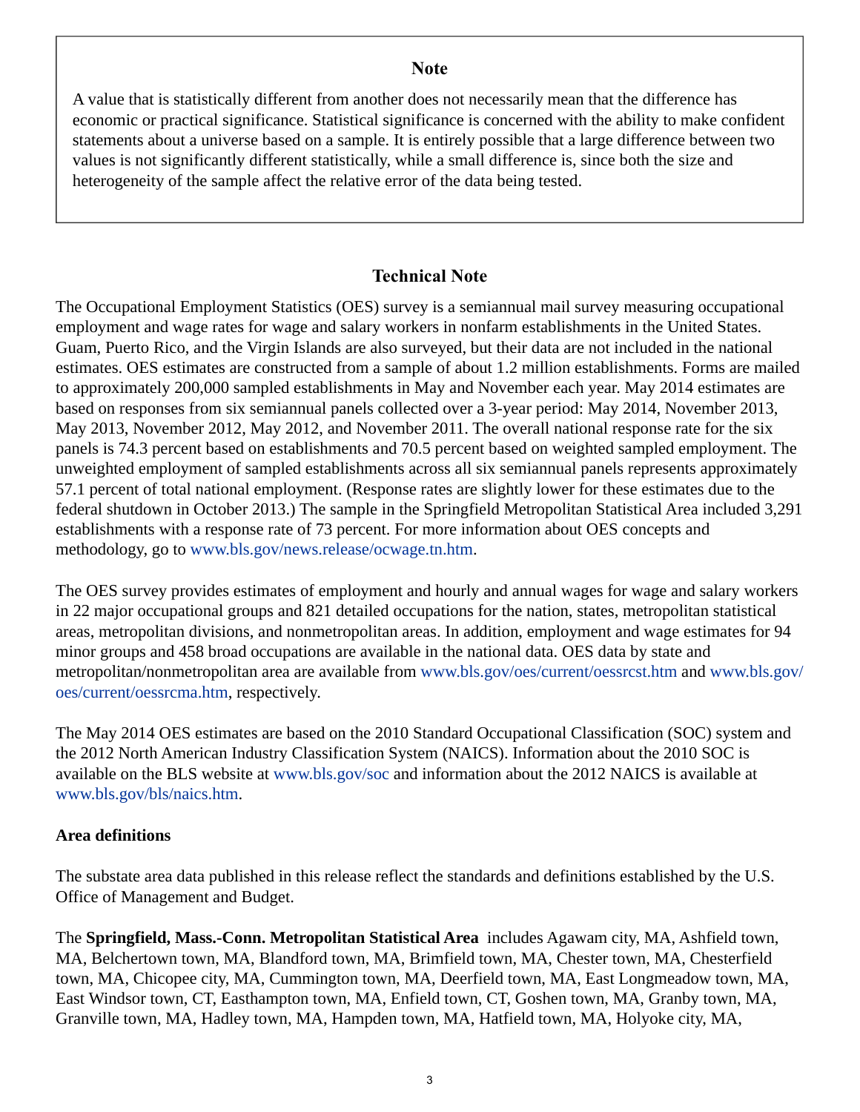## **Note**

<span id="page-2-0"></span>A value that is statistically different from another does not necessarily mean that the difference has economic or practical significance. Statistical significance is concerned with the ability to make confident statements about a universe based on a sample. It is entirely possible that a large difference between two values is not significantly different statistically, while a small difference is, since both the size and heterogeneity of the sample affect the relative error of the data being tested.

## **Technical Note**

The Occupational Employment Statistics (OES) survey is a semiannual mail survey measuring occupational employment and wage rates for wage and salary workers in nonfarm establishments in the United States. Guam, Puerto Rico, and the Virgin Islands are also surveyed, but their data are not included in the national estimates. OES estimates are constructed from a sample of about 1.2 million establishments. Forms are mailed to approximately 200,000 sampled establishments in May and November each year. May 2014 estimates are based on responses from six semiannual panels collected over a 3-year period: May 2014, November 2013, May 2013, November 2012, May 2012, and November 2011. The overall national response rate for the six panels is 74.3 percent based on establishments and 70.5 percent based on weighted sampled employment. The unweighted employment of sampled establishments across all six semiannual panels represents approximately 57.1 percent of total national employment. (Response rates are slightly lower for these estimates due to the federal shutdown in October 2013.) The sample in the Springfield Metropolitan Statistical Area included 3,291 establishments with a response rate of 73 percent. For more information about OES concepts and methodology, go to [www.bls.gov/news.release/ocwage.tn.htm.](https://www.bls.gov/news.release/ocwage.tn.htm)

The OES survey provides estimates of employment and hourly and annual wages for wage and salary workers in 22 major occupational groups and 821 detailed occupations for the nation, states, metropolitan statistical areas, metropolitan divisions, and nonmetropolitan areas. In addition, employment and wage estimates for 94 minor groups and 458 broad occupations are available in the national data. OES data by state and metropolitan/nonmetropolitan area are available from [www.bls.gov/oes/current/oessrcst.htm](https://www.bls.gov/oes/current/oessrcst.htm) and [www.bls.gov/](https://www.bls.gov/oes/current/oessrcma.htm) [oes/current/oessrcma.htm,](https://www.bls.gov/oes/current/oessrcma.htm) respectively.

The May 2014 OES estimates are based on the 2010 Standard Occupational Classification (SOC) system and the 2012 North American Industry Classification System (NAICS). Information about the 2010 SOC is available on the BLS website at [www.bls.gov/soc](https://www.bls.gov/soc) and information about the 2012 NAICS is available at [www.bls.gov/bls/naics.htm.](https://www.bls.gov/bls/naics.htm)

## **Area definitions**

The substate area data published in this release reflect the standards and definitions established by the U.S. Office of Management and Budget.

The **Springfield, Mass.-Conn. Metropolitan Statistical Area** includes Agawam city, MA, Ashfield town, MA, Belchertown town, MA, Blandford town, MA, Brimfield town, MA, Chester town, MA, Chesterfield town, MA, Chicopee city, MA, Cummington town, MA, Deerfield town, MA, East Longmeadow town, MA, East Windsor town, CT, Easthampton town, MA, Enfield town, CT, Goshen town, MA, Granby town, MA, Granville town, MA, Hadley town, MA, Hampden town, MA, Hatfield town, MA, Holyoke city, MA,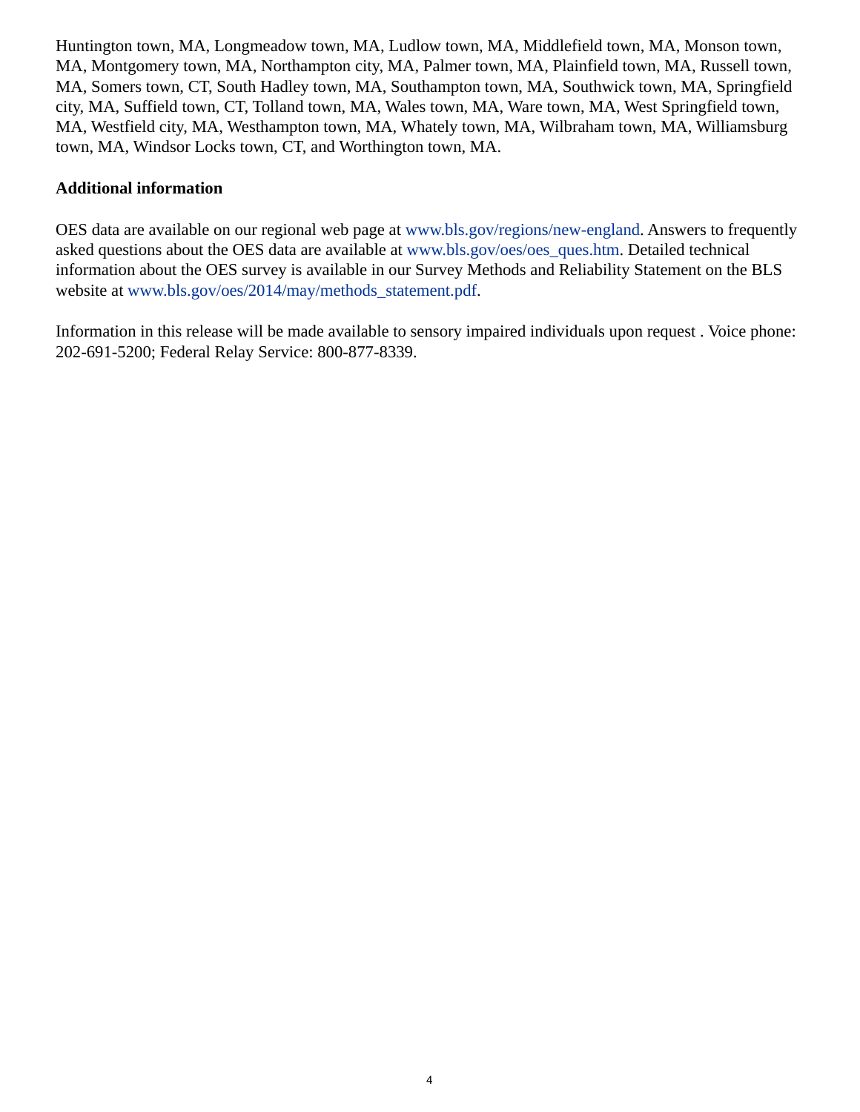Huntington town, MA, Longmeadow town, MA, Ludlow town, MA, Middlefield town, MA, Monson town, MA, Montgomery town, MA, Northampton city, MA, Palmer town, MA, Plainfield town, MA, Russell town, MA, Somers town, CT, South Hadley town, MA, Southampton town, MA, Southwick town, MA, Springfield city, MA, Suffield town, CT, Tolland town, MA, Wales town, MA, Ware town, MA, West Springfield town, MA, Westfield city, MA, Westhampton town, MA, Whately town, MA, Wilbraham town, MA, Williamsburg town, MA, Windsor Locks town, CT, and Worthington town, MA.

## **Additional information**

OES data are available on our regional web page at [www.bls.gov/regions/new-england.](https://www.bls.gov/regions/new-england) Answers to frequently asked questions about the OES data are available at [www.bls.gov/oes/oes\\_ques.htm](https://www.bls.gov/oes/oes_ques.htm). Detailed technical information about the OES survey is available in our Survey Methods and Reliability Statement on the BLS website at [www.bls.gov/oes/2014/may/methods\\_statement.pdf.](https://www.bls.gov/oes/2014/may/methods_statement.pdf)

Information in this release will be made available to sensory impaired individuals upon request . Voice phone: 202-691-5200; Federal Relay Service: 800-877-8339.